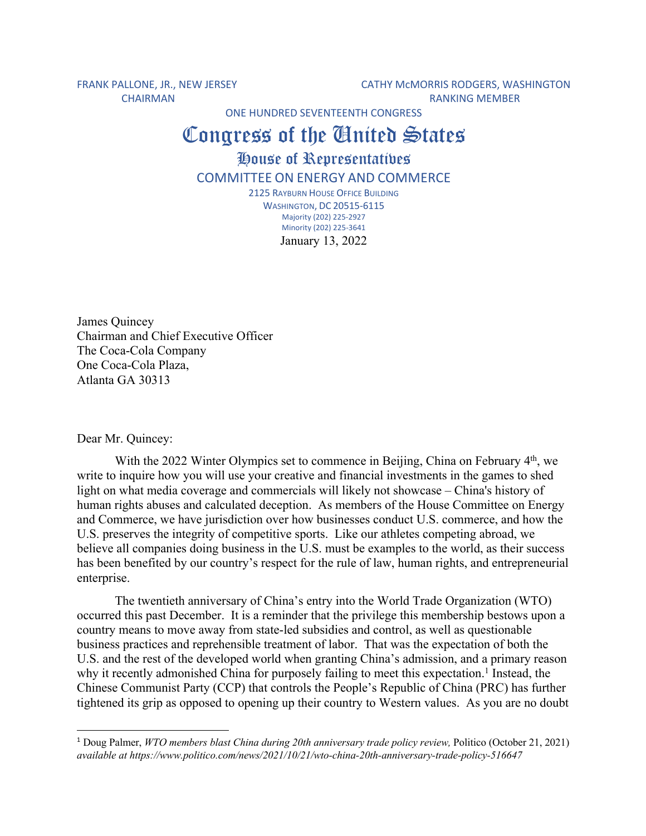FRANK PALLONE, JR., NEW JERSEY CATHY MCMORRIS RODGERS, WASHINGTON CHAIRMAN RANKING MEMBER

ONE HUNDRED SEVENTEENTH CONGRESS

## Congress of the **Chatted** States

House of Representatives COMMITTEE ON ENERGY AND COMMERCE

> 2125 RAYBURN HOUSE OFFICE BUILDING WASHINGTON, DC 20515-6115 Majority (202) 225-2927 Minority (202) 225-3641 January 13, 2022

James Quincey Chairman and Chief Executive Officer The Coca-Cola Company One Coca-Cola Plaza, Atlanta GA 30313

Dear Mr. Quincey:

With the 2022 Winter Olympics set to commence in Beijing, China on February 4<sup>th</sup>, we write to inquire how you will use your creative and financial investments in the games to shed light on what media coverage and commercials will likely not showcase – China's history of human rights abuses and calculated deception. As members of the House Committee on Energy and Commerce, we have jurisdiction over how businesses conduct U.S. commerce, and how the U.S. preserves the integrity of competitive sports. Like our athletes competing abroad, we believe all companies doing business in the U.S. must be examples to the world, as their success has been benefited by our country's respect for the rule of law, human rights, and entrepreneurial enterprise.

The twentieth anniversary of China's entry into the World Trade Organization (WTO) occurred this past December. It is a reminder that the privilege this membership bestows upon a country means to move away from state-led subsidies and control, as well as questionable business practices and reprehensible treatment of labor. That was the expectation of both the U.S. and the rest of the developed world when granting China's admission, and a primary reason why it recently admonished China for purposely failing to meet this expectation.<sup>1</sup> Instead, the Chinese Communist Party (CCP) that controls the People's Republic of China (PRC) has further tightened its grip as opposed to opening up their country to Western values. As you are no doubt

<sup>1</sup> Doug Palmer, *WTO members blast China during 20th anniversary trade policy review,* Politico (October 21, 2021) *available at https://www.politico.com/news/2021/10/21/wto-china-20th-anniversary-trade-policy-516647*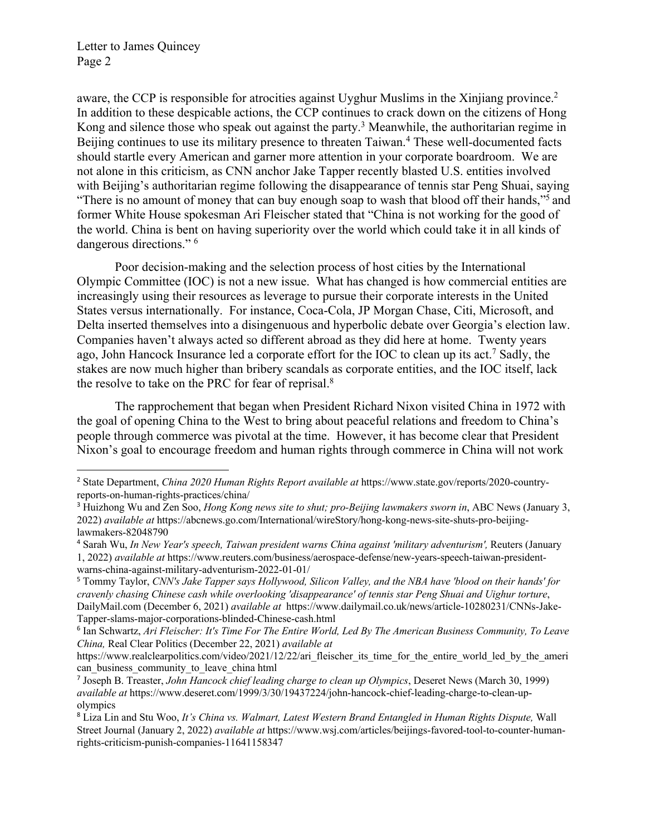aware, the CCP is responsible for atrocities against Uyghur Muslims in the Xinjiang province.<sup>2</sup> In addition to these despicable actions, the CCP continues to crack down on the citizens of Hong Kong and silence those who speak out against the party.<sup>3</sup> Meanwhile, the authoritarian regime in Beijing continues to use its military presence to threaten Taiwan.<sup>4</sup> These well-documented facts should startle every American and garner more attention in your corporate boardroom. We are not alone in this criticism, as CNN anchor Jake Tapper recently blasted U.S. entities involved with Beijing's authoritarian regime following the disappearance of tennis star Peng Shuai, saying "There is no amount of money that can buy enough soap to wash that blood off their hands,"5 and former White House spokesman Ari Fleischer stated that "China is not working for the good of the world. China is bent on having superiority over the world which could take it in all kinds of dangerous directions." 6

Poor decision-making and the selection process of host cities by the International Olympic Committee (IOC) is not a new issue. What has changed is how commercial entities are increasingly using their resources as leverage to pursue their corporate interests in the United States versus internationally. For instance, Coca-Cola, JP Morgan Chase, Citi, Microsoft, and Delta inserted themselves into a disingenuous and hyperbolic debate over Georgia's election law. Companies haven't always acted so different abroad as they did here at home. Twenty years ago, John Hancock Insurance led a corporate effort for the IOC to clean up its act.7 Sadly, the stakes are now much higher than bribery scandals as corporate entities, and the IOC itself, lack the resolve to take on the PRC for fear of reprisal.<sup>8</sup>

The rapprochement that began when President Richard Nixon visited China in 1972 with the goal of opening China to the West to bring about peaceful relations and freedom to China's people through commerce was pivotal at the time. However, it has become clear that President Nixon's goal to encourage freedom and human rights through commerce in China will not work

- <sup>3</sup> Huizhong Wu and Zen Soo, *Hong Kong news site to shut; pro-Beijing lawmakers sworn in*, ABC News (January 3, 2022) *available at* https://abcnews.go.com/International/wireStory/hong-kong-news-site-shuts-pro-beijinglawmakers-82048790
- <sup>4</sup> Sarah Wu, *In New Year's speech, Taiwan president warns China against 'military adventurism',* Reuters (January 1, 2022) *available at* https://www.reuters.com/business/aerospace-defense/new-years-speech-taiwan-presidentwarns-china-against-military-adventurism-2022-01-01/
- <sup>5</sup> Tommy Taylor, *CNN's Jake Tapper says Hollywood, Silicon Valley, and the NBA have 'blood on their hands' for cravenly chasing Chinese cash while overlooking 'disappearance' of tennis star Peng Shuai and Uighur torture*, DailyMail.com (December 6, 2021) *available at* https://www.dailymail.co.uk/news/article-10280231/CNNs-Jake-Tapper-slams-major-corporations-blinded-Chinese-cash.html

<sup>2</sup> State Department, *China 2020 Human Rights Report available at* https://www.state.gov/reports/2020-countryreports-on-human-rights-practices/china/

<sup>6</sup> Ian Schwartz, *Ari Fleischer: It's Time For The Entire World, Led By The American Business Community, To Leave China,* Real Clear Politics (December 22, 2021) *available at* 

https://www.realclearpolitics.com/video/2021/12/22/ari\_fleischer\_its\_time\_for\_the\_entire\_world\_led\_by\_the\_ameri can business community to leave china html

<sup>7</sup> Joseph B. Treaster, *John Hancock chief leading charge to clean up Olympics*, Deseret News (March 30, 1999) *available at* https://www.deseret.com/1999/3/30/19437224/john-hancock-chief-leading-charge-to-clean-upolympics

<sup>8</sup> Liza Lin and Stu Woo, *It's China vs. Walmart, Latest Western Brand Entangled in Human Rights Dispute,* Wall Street Journal (January 2, 2022) *available at* https://www.wsj.com/articles/beijings-favored-tool-to-counter-humanrights-criticism-punish-companies-11641158347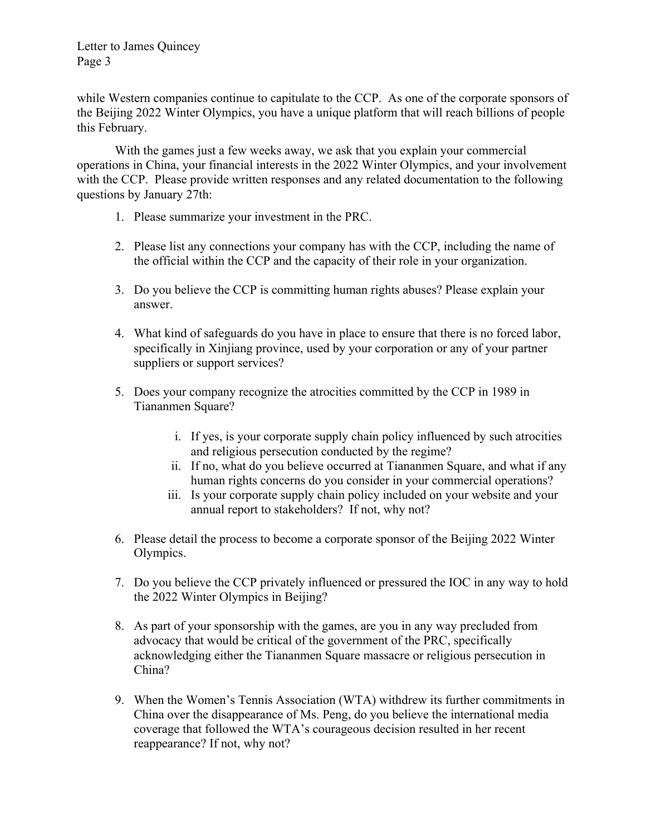while Western companies continue to capitulate to the CCP. As one of the corporate sponsors of the Beijing 2022 Winter Olympics, you have a unique platform that will reach billions of people this February.

With the games just a few weeks away, we ask that you explain your commercial operations in China, your financial interests in the 2022 Winter Olympics, and your involvement with the CCP. Please provide written responses and any related documentation to the following questions by January 27th:

- 1. Please summarize your investment in the PRC.
- 2. Please list any connections your company has with the CCP, including the name of the official within the CCP and the capacity of their role in your organization.
- 3. Do you believe the CCP is committing human rights abuses? Please explain your answer.
- 4. What kind of safeguards do you have in place to ensure that there is no forced labor, specifically in Xinjiang province, used by your corporation or any of your partner suppliers or support services?
- 5. Does your company recognize the atrocities committed by the CCP in 1989 in Tiananmen Square?
	- i. If yes, is your corporate supply chain policy influenced by such atrocities and religious persecution conducted by the regime?
	- ii. If no, what do you believe occurred at Tiananmen Square, and what if any human rights concerns do you consider in your commercial operations?
	- iii. Is your corporate supply chain policy included on your website and your annual report to stakeholders? If not, why not?
- 6. Please detail the process to become a corporate sponsor of the Beijing 2022 Winter Olympics.
- 7. Do you believe the CCP privately influenced or pressured the IOC in any way to hold the 2022 Winter Olympics in Beijing?
- 8. As part of your sponsorship with the games, are you in any way precluded from advocacy that would be critical of the government of the PRC, specifically acknowledging either the Tiananmen Square massacre or religious persecution in China?
- 9. When the Women's Tennis Association (WTA) withdrew its further commitments in China over the disappearance of Ms. Peng, do you believe the international media coverage that followed the WTA's courageous decision resulted in her recent reappearance? If not, why not?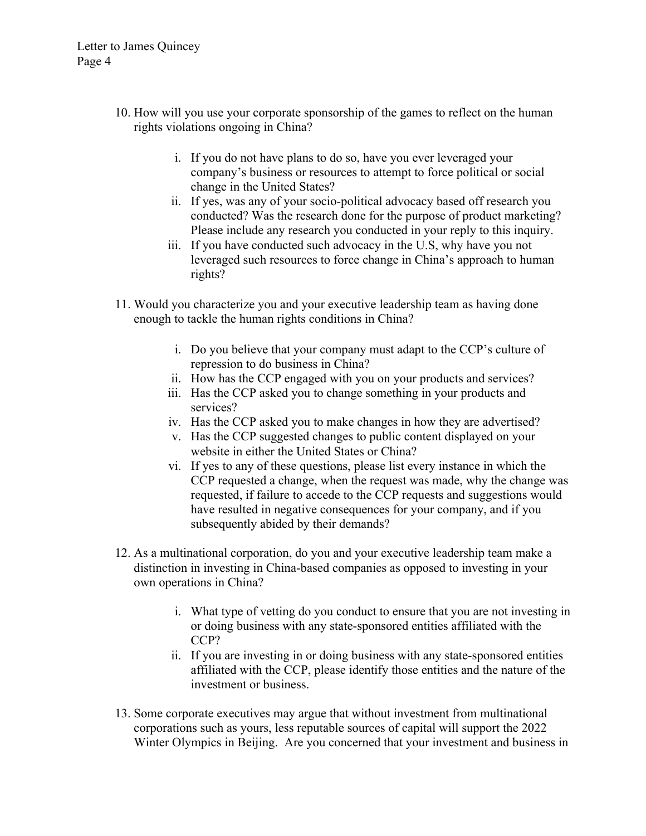- 10. How will you use your corporate sponsorship of the games to reflect on the human rights violations ongoing in China?
	- i. If you do not have plans to do so, have you ever leveraged your company's business or resources to attempt to force political or social change in the United States?
	- ii. If yes, was any of your socio-political advocacy based off research you conducted? Was the research done for the purpose of product marketing? Please include any research you conducted in your reply to this inquiry.
	- iii. If you have conducted such advocacy in the U.S, why have you not leveraged such resources to force change in China's approach to human rights?
- 11. Would you characterize you and your executive leadership team as having done enough to tackle the human rights conditions in China?
	- i. Do you believe that your company must adapt to the CCP's culture of repression to do business in China?
	- ii. How has the CCP engaged with you on your products and services?
	- iii. Has the CCP asked you to change something in your products and services?
	- iv. Has the CCP asked you to make changes in how they are advertised?
	- v. Has the CCP suggested changes to public content displayed on your website in either the United States or China?
	- vi. If yes to any of these questions, please list every instance in which the CCP requested a change, when the request was made, why the change was requested, if failure to accede to the CCP requests and suggestions would have resulted in negative consequences for your company, and if you subsequently abided by their demands?
- 12. As a multinational corporation, do you and your executive leadership team make a distinction in investing in China-based companies as opposed to investing in your own operations in China?
	- i. What type of vetting do you conduct to ensure that you are not investing in or doing business with any state-sponsored entities affiliated with the CCP?
	- ii. If you are investing in or doing business with any state-sponsored entities affiliated with the CCP, please identify those entities and the nature of the investment or business.
- 13. Some corporate executives may argue that without investment from multinational corporations such as yours, less reputable sources of capital will support the 2022 Winter Olympics in Beijing. Are you concerned that your investment and business in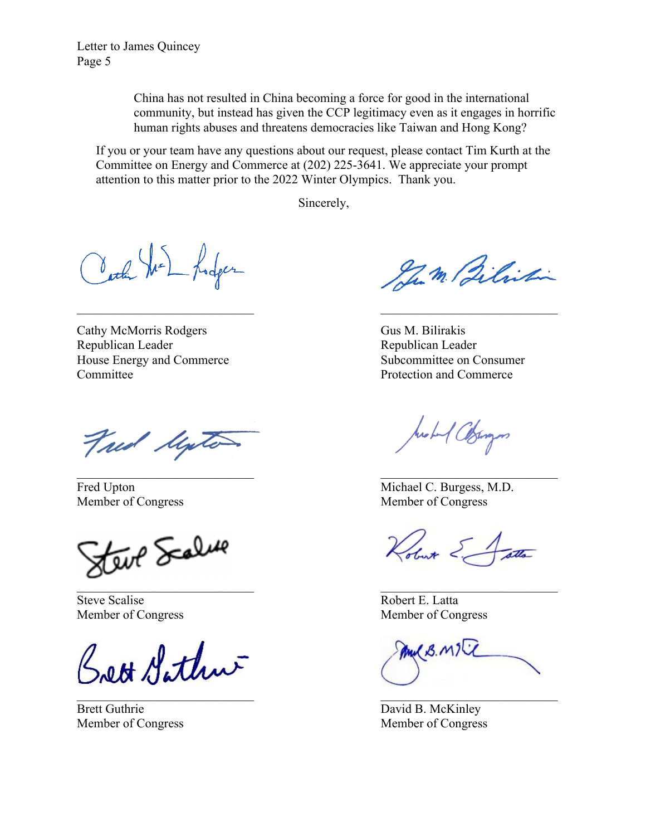> China has not resulted in China becoming a force for good in the international community, but instead has given the CCP legitimacy even as it engages in horrific human rights abuses and threatens democracies like Taiwan and Hong Kong?

If you or your team have any questions about our request, please contact Tim Kurth at the Committee on Energy and Commerce at (202) 225-3641. We appreciate your prompt attention to this matter prior to the 2022 Winter Olympics. Thank you.

Sincerely,

Carl We hodger

Cathy McMorris Rodgers Gus M. Bilirakis Republican Leader **Republican Leader** Republican Leader House Energy and Commerce Subcommittee on Consumer Committee Protection and Commerce

Tread Marte

teur Scalure

Steve Scalise **Robert E.** Latta

Brett Sathur

Brett Guthrie David B. McKinley

Jum Bilistin

Arobert Colomps

Fred Upton Michael C. Burgess, M.D. Member of Congress Member of Congress

Kobut E

Member of Congress Member of Congress

WB. MIT

Member of Congress Member of Congress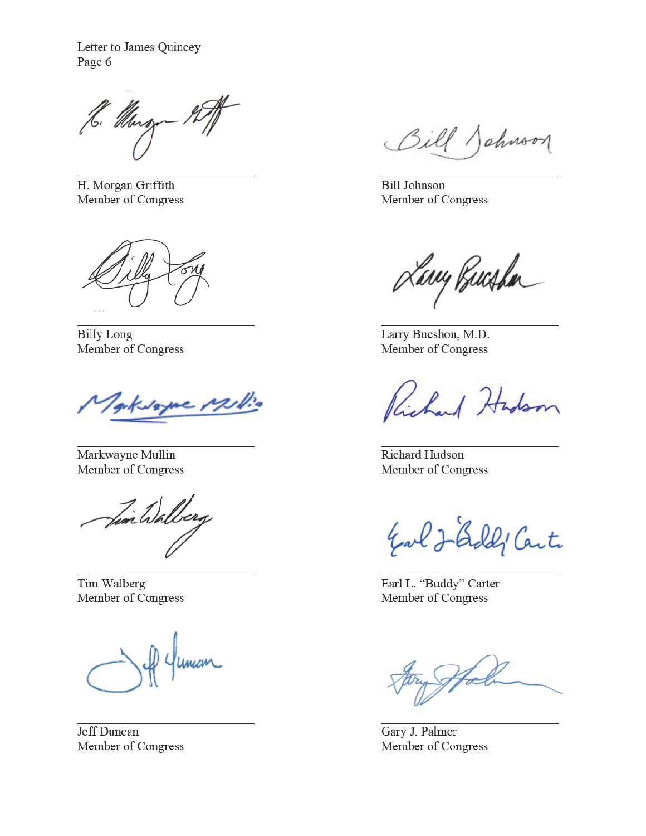H. Murg

H. Morgan Griffith Member of Congress

**Billy Long** Member of Congress

Kvame

Markwayne Mullin Member of Congress

Fin Walberg

Tim Walberg Member of Congress

Jeff Duncan Member of Congress

Bill Johnson

**Bill Johnson** Member of Congress

Lary Bucha

Larry Bucshon, M.D. Member of Congress

Red Hadson

**Richard Hudson** Member of Congress

Earl J-Gold' Carte

Earl L. "Buddy" Carter Member of Congress

Gary J. Palmer Member of Congress